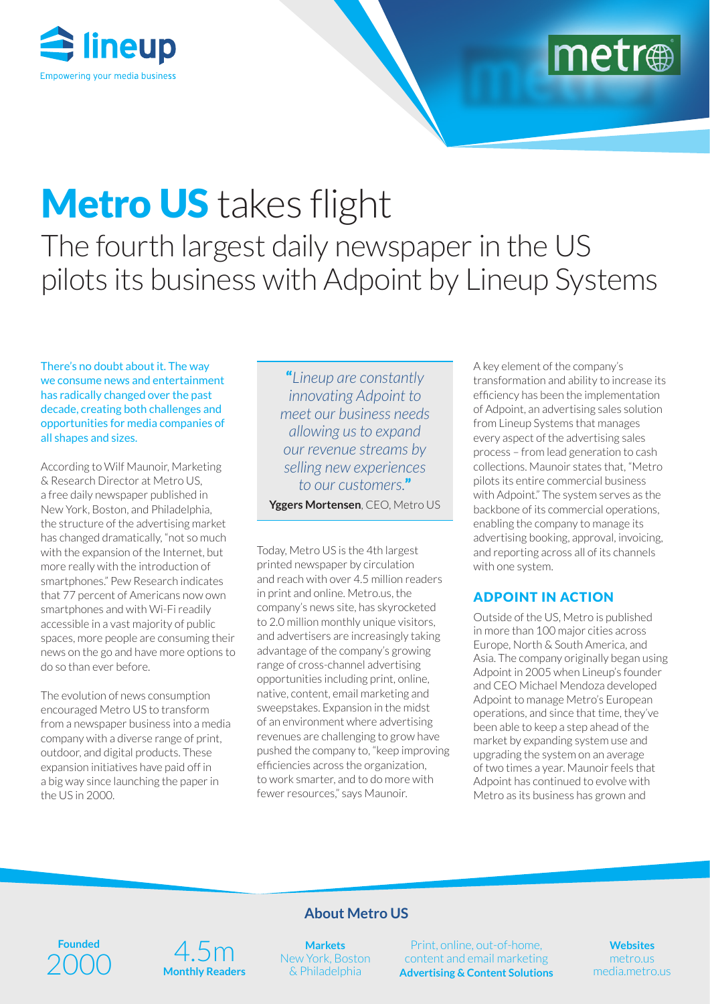



# Metro US takes flight The fourth largest daily newspaper in the US pilots its business with Adpoint by Lineup Systems

There's no doubt about it. The way we consume news and entertainment has radically changed over the past decade, creating both challenges and opportunities for media companies of all shapes and sizes.

According to Wilf Maunoir, Marketing & Research Director at Metro US, a free daily newspaper published in New York, Boston, and Philadelphia, the structure of the advertising market has changed dramatically, "not so much with the expansion of the Internet, but more really with the introduction of smartphones." Pew Research indicates that 77 percent of Americans now own smartphones and with Wi-Fi readily accessible in a vast majority of public spaces, more people are consuming their news on the go and have more options to do so than ever before.

The evolution of news consumption encouraged Metro US to transform from a newspaper business into a media company with a diverse range of print, outdoor, and digital products. These expansion initiatives have paid off in a big way since launching the paper in the US in 2000.

"*Lineup are constantly innovating Adpoint to meet our business needs allowing us to expand our revenue streams by selling new experiences to our customers.*" **Yggers Mortensen**, CEO, Metro US

Today, Metro US is the 4th largest printed newspaper by circulation and reach with over 4.5 million readers in print and online. Metro.us, the company's news site, has skyrocketed to 2.0 million monthly unique visitors, and advertisers are increasingly taking advantage of the company's growing range of cross-channel advertising opportunities including print, online, native, content, email marketing and sweepstakes. Expansion in the midst of an environment where advertising revenues are challenging to grow have pushed the company to, "keep improving efficiencies across the organization, to work smarter, and to do more with fewer resources," says Maunoir.

A key element of the company's transformation and ability to increase its efficiency has been the implementation of Adpoint, an advertising sales solution from Lineup Systems that manages every aspect of the advertising sales process – from lead generation to cash collections. Maunoir states that, "Metro pilots its entire commercial business with Adpoint." The system serves as the backbone of its commercial operations, enabling the company to manage its advertising booking, approval, invoicing, and reporting across all of its channels with one system.

### ADPOINT IN ACTION

Outside of the US, Metro is published in more than 100 major cities across Europe, North & South America, and Asia. The company originally began using Adpoint in 2005 when Lineup's founder and CEO Michael Mendoza developed Adpoint to manage Metro's European operations, and since that time, they've been able to keep a step ahead of the market by expanding system use and upgrading the system on an average of two times a year. Maunoir feels that Adpoint has continued to evolve with Metro as its business has grown and

# **Founded** 2000



# **About Metro US**

**Markets** New York, Boston & Philadelphia

Print, online, out-of-home, content and email marketing **Advertising & Content Solutions**

**Websites** metro.us media.metro.us